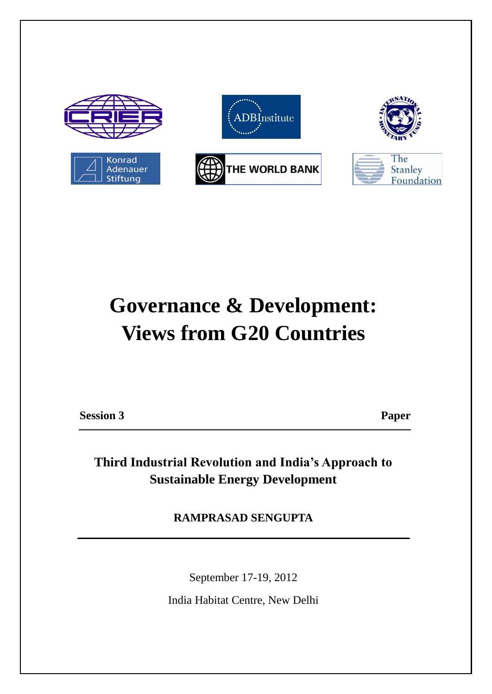

# **Governance & Development: Views from G20 Countries**

**Session 3 Paper**

**Third Industrial Revolution and India's Approach to Sustainable Energy Development**

**RAMPRASAD SENGUPTA**

September 17-19, 2012

India Habitat Centre, New Delhi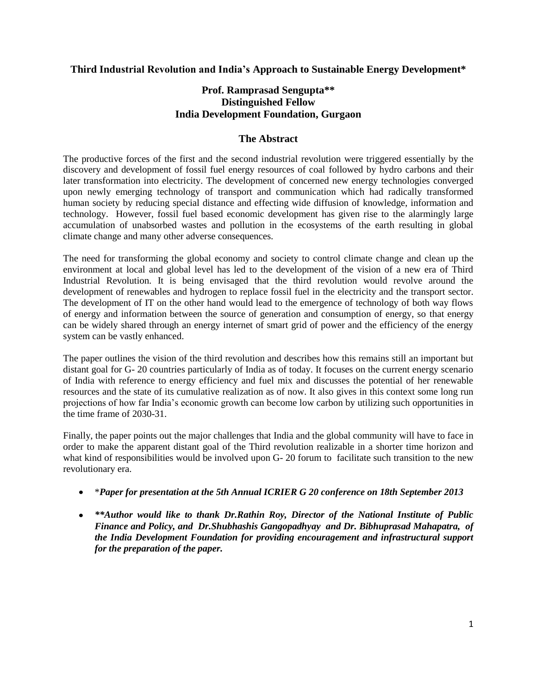#### **Third Industrial Revolution and India's Approach to Sustainable Energy Development\***

#### **Prof. Ramprasad Sengupta\*\* Distinguished Fellow India Development Foundation, Gurgaon**

#### **The Abstract**

The productive forces of the first and the second industrial revolution were triggered essentially by the discovery and development of fossil fuel energy resources of coal followed by hydro carbons and their later transformation into electricity. The development of concerned new energy technologies converged upon newly emerging technology of transport and communication which had radically transformed human society by reducing special distance and effecting wide diffusion of knowledge, information and technology. However, fossil fuel based economic development has given rise to the alarmingly large accumulation of unabsorbed wastes and pollution in the ecosystems of the earth resulting in global climate change and many other adverse consequences.

The need for transforming the global economy and society to control climate change and clean up the environment at local and global level has led to the development of the vision of a new era of Third Industrial Revolution. It is being envisaged that the third revolution would revolve around the development of renewables and hydrogen to replace fossil fuel in the electricity and the transport sector. The development of IT on the other hand would lead to the emergence of technology of both way flows of energy and information between the source of generation and consumption of energy, so that energy can be widely shared through an energy internet of smart grid of power and the efficiency of the energy system can be vastly enhanced.

The paper outlines the vision of the third revolution and describes how this remains still an important but distant goal for G- 20 countries particularly of India as of today. It focuses on the current energy scenario of India with reference to energy efficiency and fuel mix and discusses the potential of her renewable resources and the state of its cumulative realization as of now. It also gives in this context some long run projections of how far India"s economic growth can become low carbon by utilizing such opportunities in the time frame of 2030-31.

Finally, the paper points out the major challenges that India and the global community will have to face in order to make the apparent distant goal of the Third revolution realizable in a shorter time horizon and what kind of responsibilities would be involved upon G- 20 forum to facilitate such transition to the new revolutionary era.

- \**Paper for presentation at the 5th Annual ICRIER G 20 conference on 18th September 2013*
- *\*\*Author would like to thank Dr.Rathin Roy, Director of the National Institute of Public Finance and Policy, and Dr.Shubhashis Gangopadhyay and Dr. Bibhuprasad Mahapatra, of the India Development Foundation for providing encouragement and infrastructural support for the preparation of the paper.*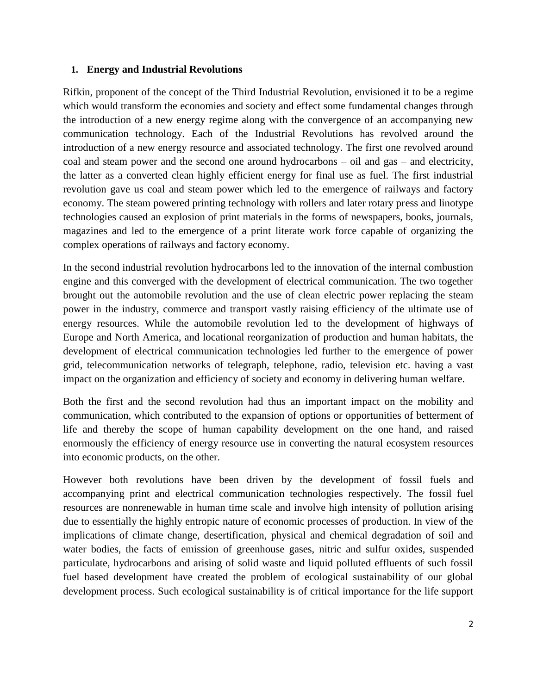## **1. Energy and Industrial Revolutions**

Rifkin, proponent of the concept of the Third Industrial Revolution, envisioned it to be a regime which would transform the economies and society and effect some fundamental changes through the introduction of a new energy regime along with the convergence of an accompanying new communication technology. Each of the Industrial Revolutions has revolved around the introduction of a new energy resource and associated technology. The first one revolved around coal and steam power and the second one around hydrocarbons – oil and gas – and electricity, the latter as a converted clean highly efficient energy for final use as fuel. The first industrial revolution gave us coal and steam power which led to the emergence of railways and factory economy. The steam powered printing technology with rollers and later rotary press and linotype technologies caused an explosion of print materials in the forms of newspapers, books, journals, magazines and led to the emergence of a print literate work force capable of organizing the complex operations of railways and factory economy.

In the second industrial revolution hydrocarbons led to the innovation of the internal combustion engine and this converged with the development of electrical communication. The two together brought out the automobile revolution and the use of clean electric power replacing the steam power in the industry, commerce and transport vastly raising efficiency of the ultimate use of energy resources. While the automobile revolution led to the development of highways of Europe and North America, and locational reorganization of production and human habitats, the development of electrical communication technologies led further to the emergence of power grid, telecommunication networks of telegraph, telephone, radio, television etc. having a vast impact on the organization and efficiency of society and economy in delivering human welfare.

Both the first and the second revolution had thus an important impact on the mobility and communication, which contributed to the expansion of options or opportunities of betterment of life and thereby the scope of human capability development on the one hand, and raised enormously the efficiency of energy resource use in converting the natural ecosystem resources into economic products, on the other.

However both revolutions have been driven by the development of fossil fuels and accompanying print and electrical communication technologies respectively. The fossil fuel resources are nonrenewable in human time scale and involve high intensity of pollution arising due to essentially the highly entropic nature of economic processes of production. In view of the implications of climate change, desertification, physical and chemical degradation of soil and water bodies, the facts of emission of greenhouse gases, nitric and sulfur oxides, suspended particulate, hydrocarbons and arising of solid waste and liquid polluted effluents of such fossil fuel based development have created the problem of ecological sustainability of our global development process. Such ecological sustainability is of critical importance for the life support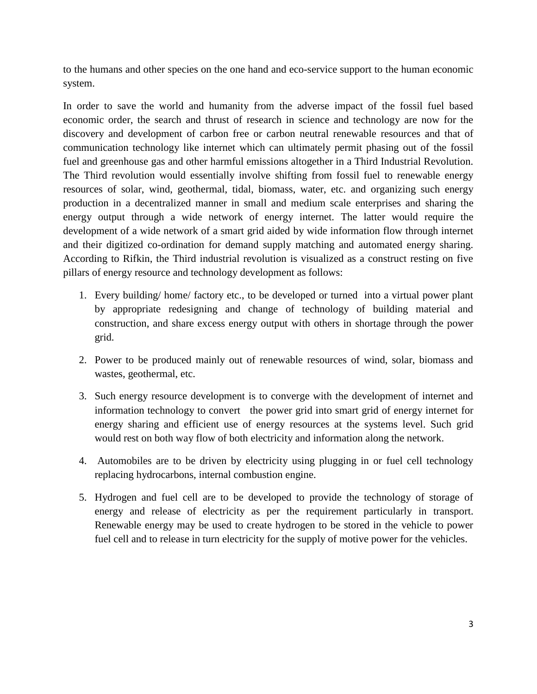to the humans and other species on the one hand and eco-service support to the human economic system.

In order to save the world and humanity from the adverse impact of the fossil fuel based economic order, the search and thrust of research in science and technology are now for the discovery and development of carbon free or carbon neutral renewable resources and that of communication technology like internet which can ultimately permit phasing out of the fossil fuel and greenhouse gas and other harmful emissions altogether in a Third Industrial Revolution. The Third revolution would essentially involve shifting from fossil fuel to renewable energy resources of solar, wind, geothermal, tidal, biomass, water, etc. and organizing such energy production in a decentralized manner in small and medium scale enterprises and sharing the energy output through a wide network of energy internet. The latter would require the development of a wide network of a smart grid aided by wide information flow through internet and their digitized co-ordination for demand supply matching and automated energy sharing. According to Rifkin, the Third industrial revolution is visualized as a construct resting on five pillars of energy resource and technology development as follows:

- 1. Every building/ home/ factory etc., to be developed or turned into a virtual power plant by appropriate redesigning and change of technology of building material and construction, and share excess energy output with others in shortage through the power grid.
- 2. Power to be produced mainly out of renewable resources of wind, solar, biomass and wastes, geothermal, etc.
- 3. Such energy resource development is to converge with the development of internet and information technology to convert the power grid into smart grid of energy internet for energy sharing and efficient use of energy resources at the systems level. Such grid would rest on both way flow of both electricity and information along the network.
- 4. Automobiles are to be driven by electricity using plugging in or fuel cell technology replacing hydrocarbons, internal combustion engine.
- 5. Hydrogen and fuel cell are to be developed to provide the technology of storage of energy and release of electricity as per the requirement particularly in transport. Renewable energy may be used to create hydrogen to be stored in the vehicle to power fuel cell and to release in turn electricity for the supply of motive power for the vehicles.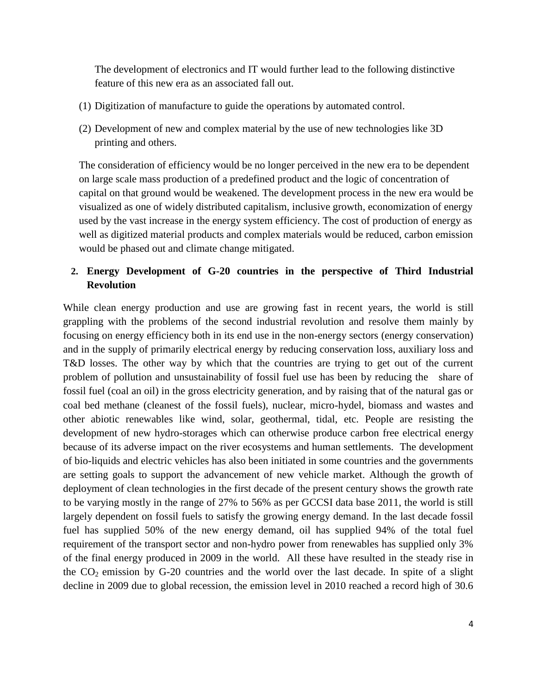The development of electronics and IT would further lead to the following distinctive feature of this new era as an associated fall out.

- (1) Digitization of manufacture to guide the operations by automated control.
- (2) Development of new and complex material by the use of new technologies like 3D printing and others.

The consideration of efficiency would be no longer perceived in the new era to be dependent on large scale mass production of a predefined product and the logic of concentration of capital on that ground would be weakened. The development process in the new era would be visualized as one of widely distributed capitalism, inclusive growth, economization of energy used by the vast increase in the energy system efficiency. The cost of production of energy as well as digitized material products and complex materials would be reduced, carbon emission would be phased out and climate change mitigated.

# **2. Energy Development of G-20 countries in the perspective of Third Industrial Revolution**

While clean energy production and use are growing fast in recent years, the world is still grappling with the problems of the second industrial revolution and resolve them mainly by focusing on energy efficiency both in its end use in the non-energy sectors (energy conservation) and in the supply of primarily electrical energy by reducing conservation loss, auxiliary loss and T&D losses. The other way by which that the countries are trying to get out of the current problem of pollution and unsustainability of fossil fuel use has been by reducing the share of fossil fuel (coal an oil) in the gross electricity generation, and by raising that of the natural gas or coal bed methane (cleanest of the fossil fuels), nuclear, micro-hydel, biomass and wastes and other abiotic renewables like wind, solar, geothermal, tidal, etc. People are resisting the development of new hydro-storages which can otherwise produce carbon free electrical energy because of its adverse impact on the river ecosystems and human settlements. The development of bio-liquids and electric vehicles has also been initiated in some countries and the governments are setting goals to support the advancement of new vehicle market. Although the growth of deployment of clean technologies in the first decade of the present century shows the growth rate to be varying mostly in the range of 27% to 56% as per GCCSI data base 2011, the world is still largely dependent on fossil fuels to satisfy the growing energy demand. In the last decade fossil fuel has supplied 50% of the new energy demand, oil has supplied 94% of the total fuel requirement of the transport sector and non-hydro power from renewables has supplied only 3% of the final energy produced in 2009 in the world. All these have resulted in the steady rise in the  $CO<sub>2</sub>$  emission by G-20 countries and the world over the last decade. In spite of a slight decline in 2009 due to global recession, the emission level in 2010 reached a record high of 30.6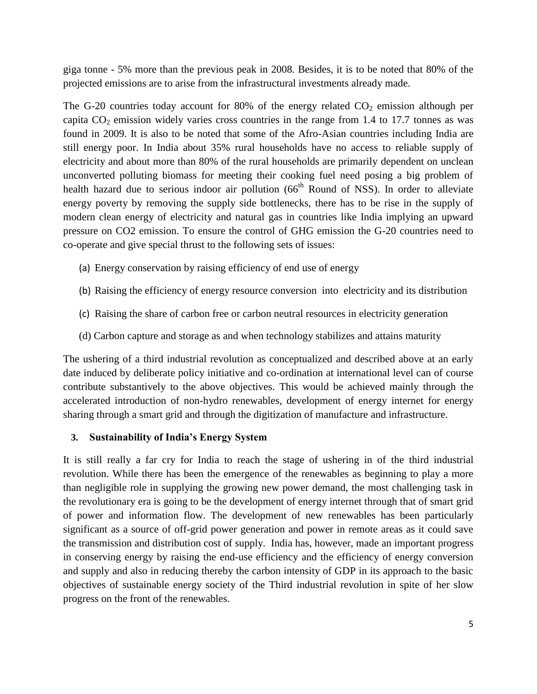giga tonne - 5% more than the previous peak in 2008. Besides, it is to be noted that 80% of the projected emissions are to arise from the infrastructural investments already made.

The G-20 countries today account for 80% of the energy related  $CO<sub>2</sub>$  emission although per capita  $CO<sub>2</sub>$  emission widely varies cross countries in the range from 1.4 to 17.7 tonnes as was found in 2009. It is also to be noted that some of the Afro-Asian countries including India are still energy poor. In India about 35% rural households have no access to reliable supply of electricity and about more than 80% of the rural households are primarily dependent on unclean unconverted polluting biomass for meeting their cooking fuel need posing a big problem of health hazard due to serious indoor air pollution  $(66<sup>th</sup>$  Round of NSS). In order to alleviate energy poverty by removing the supply side bottlenecks, there has to be rise in the supply of modern clean energy of electricity and natural gas in countries like India implying an upward pressure on CO2 emission. To ensure the control of GHG emission the G-20 countries need to co-operate and give special thrust to the following sets of issues:

- (a) Energy conservation by raising efficiency of end use of energy
- (b) Raising the efficiency of energy resource conversion into electricity and its distribution
- (c) Raising the share of carbon free or carbon neutral resources in electricity generation
- (d) Carbon capture and storage as and when technology stabilizes and attains maturity

The ushering of a third industrial revolution as conceptualized and described above at an early date induced by deliberate policy initiative and co-ordination at international level can of course contribute substantively to the above objectives. This would be achieved mainly through the accelerated introduction of non-hydro renewables, development of energy internet for energy sharing through a smart grid and through the digitization of manufacture and infrastructure.

#### **3. Sustainability of India's Energy System**

It is still really a far cry for India to reach the stage of ushering in of the third industrial revolution. While there has been the emergence of the renewables as beginning to play a more than negligible role in supplying the growing new power demand, the most challenging task in the revolutionary era is going to be the development of energy internet through that of smart grid of power and information flow. The development of new renewables has been particularly significant as a source of off-grid power generation and power in remote areas as it could save the transmission and distribution cost of supply. India has, however, made an important progress in conserving energy by raising the end-use efficiency and the efficiency of energy conversion and supply and also in reducing thereby the carbon intensity of GDP in its approach to the basic objectives of sustainable energy society of the Third industrial revolution in spite of her slow progress on the front of the renewables.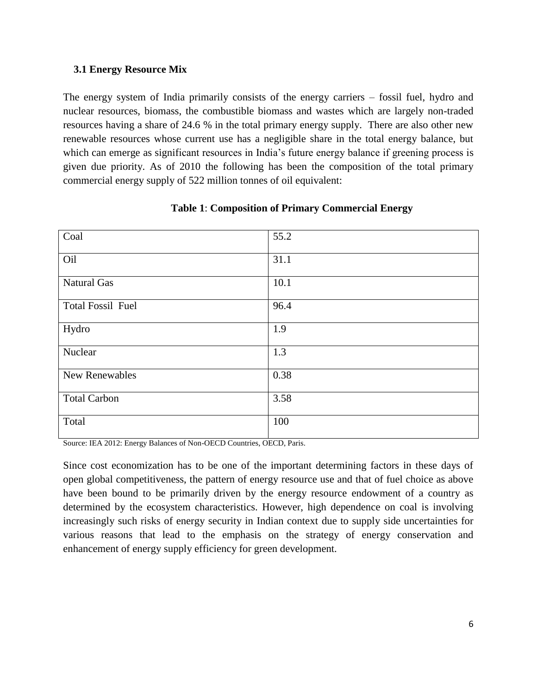# **3.1 Energy Resource Mix**

The energy system of India primarily consists of the energy carriers – fossil fuel, hydro and nuclear resources, biomass, the combustible biomass and wastes which are largely non-traded resources having a share of 24.6 % in the total primary energy supply. There are also other new renewable resources whose current use has a negligible share in the total energy balance, but which can emerge as significant resources in India's future energy balance if greening process is given due priority. As of 2010 the following has been the composition of the total primary commercial energy supply of 522 million tonnes of oil equivalent:

| Coal                     | 55.2 |
|--------------------------|------|
| Oil                      | 31.1 |
| <b>Natural Gas</b>       | 10.1 |
| <b>Total Fossil Fuel</b> | 96.4 |
| Hydro                    | 1.9  |
| Nuclear                  | 1.3  |
| New Renewables           | 0.38 |
| <b>Total Carbon</b>      | 3.58 |
| Total                    | 100  |

## **Table 1**: **Composition of Primary Commercial Energy**

Source: IEA 2012: Energy Balances of Non-OECD Countries, OECD, Paris.

Since cost economization has to be one of the important determining factors in these days of open global competitiveness, the pattern of energy resource use and that of fuel choice as above have been bound to be primarily driven by the energy resource endowment of a country as determined by the ecosystem characteristics. However, high dependence on coal is involving increasingly such risks of energy security in Indian context due to supply side uncertainties for various reasons that lead to the emphasis on the strategy of energy conservation and enhancement of energy supply efficiency for green development.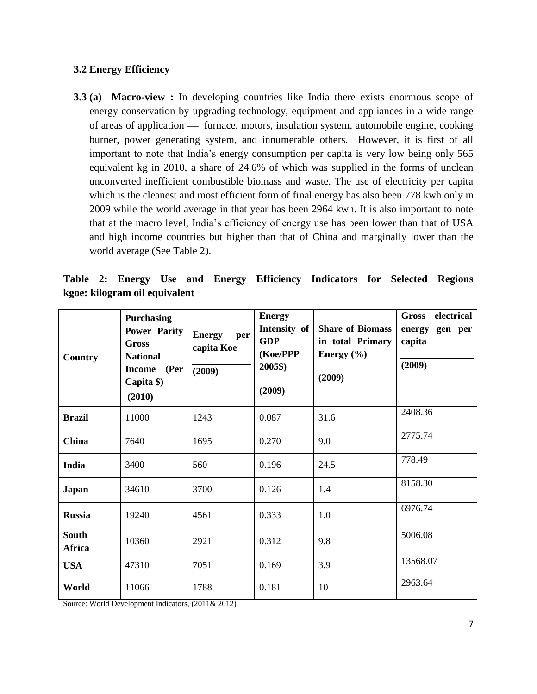## **3.2 Energy Efficiency**

**3.3 (a) Macro-view :** In developing countries like India there exists enormous scope of energy conservation by upgrading technology, equipment and appliances in a wide range of areas of application — furnace, motors, insulation system, automobile engine, cooking burner, power generating system, and innumerable others. However, it is first of all important to note that India"s energy consumption per capita is very low being only 565 equivalent kg in 2010, a share of 24.6% of which was supplied in the forms of unclean unconverted inefficient combustible biomass and waste. The use of electricity per capita which is the cleanest and most efficient form of final energy has also been 778 kwh only in 2009 while the world average in that year has been 2964 kwh. It is also important to note that at the macro level, India"s efficiency of energy use has been lower than that of USA and high income countries but higher than that of China and marginally lower than the world average (See Table 2).

**Table 2: Energy Use and Energy Efficiency Indicators for Selected Regions kgoe: kilogram oil equivalent**

| Country                       | <b>Purchasing</b><br><b>Power Parity</b><br><b>Gross</b><br><b>National</b><br>(Per)<br><b>Income</b><br>Capita \$)<br>(2010) | <b>Energy</b><br>per<br>capita Koe<br>(2009) | <b>Energy</b><br>Intensity of<br><b>GDP</b><br>(Koe/PPP<br>2005\$)<br>(2009) | <b>Share of Biomass</b><br>in total Primary<br>Energy $(\% )$<br>(2009) | <b>Gross</b><br>electrical<br>energy gen per<br>capita<br>(2009) |
|-------------------------------|-------------------------------------------------------------------------------------------------------------------------------|----------------------------------------------|------------------------------------------------------------------------------|-------------------------------------------------------------------------|------------------------------------------------------------------|
| <b>Brazil</b>                 | 11000                                                                                                                         | 1243                                         | 0.087                                                                        | 31.6                                                                    | 2408.36                                                          |
| China                         | 7640                                                                                                                          | 1695                                         | 0.270                                                                        | 9.0                                                                     | 2775.74                                                          |
| India                         | 3400                                                                                                                          | 560                                          | 0.196                                                                        | 24.5                                                                    | 778.49                                                           |
| Japan                         | 34610                                                                                                                         | 3700                                         | 0.126                                                                        | 1.4                                                                     | 8158.30                                                          |
| <b>Russia</b>                 | 19240                                                                                                                         | 4561                                         | 0.333                                                                        | 1.0                                                                     | 6976.74                                                          |
| <b>South</b><br><b>Africa</b> | 10360                                                                                                                         | 2921                                         | 0.312                                                                        | 9.8                                                                     | 5006.08                                                          |
| <b>USA</b>                    | 47310                                                                                                                         | 7051                                         | 0.169                                                                        | 3.9                                                                     | 13568.07                                                         |
| World                         | 11066                                                                                                                         | 1788                                         | 0.181                                                                        | 10                                                                      | 2963.64                                                          |

Source: World Development Indicators, (2011& 2012)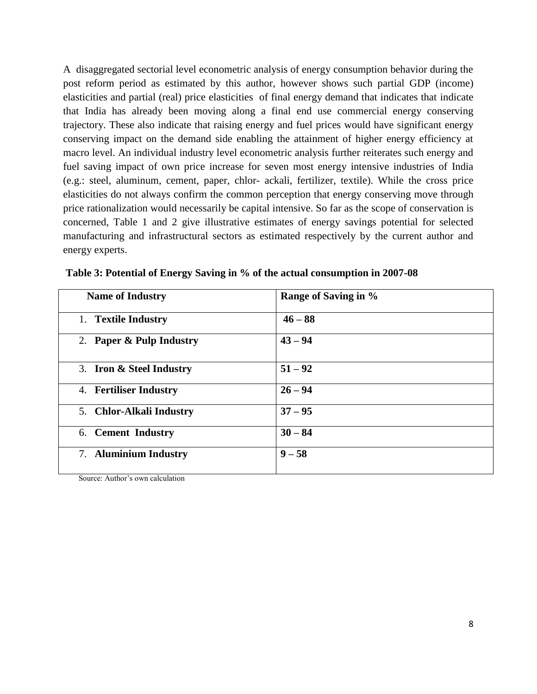A disaggregated sectorial level econometric analysis of energy consumption behavior during the post reform period as estimated by this author, however shows such partial GDP (income) elasticities and partial (real) price elasticities of final energy demand that indicates that indicate that India has already been moving along a final end use commercial energy conserving trajectory. These also indicate that raising energy and fuel prices would have significant energy conserving impact on the demand side enabling the attainment of higher energy efficiency at macro level. An individual industry level econometric analysis further reiterates such energy and fuel saving impact of own price increase for seven most energy intensive industries of India (e.g.: steel, aluminum, cement, paper, chlor- ackali, fertilizer, textile). While the cross price elasticities do not always confirm the common perception that energy conserving move through price rationalization would necessarily be capital intensive. So far as the scope of conservation is concerned, Table 1 and 2 give illustrative estimates of energy savings potential for selected manufacturing and infrastructural sectors as estimated respectively by the current author and energy experts.

| <b>Name of Industry</b>         | Range of Saving in % |
|---------------------------------|----------------------|
| 1. Textile Industry             | $46 - 88$            |
| 2. Paper & Pulp Industry        | $43 - 94$            |
| 3. Iron & Steel Industry        | $51 - 92$            |
| 4. Fertiliser Industry          | $26 - 94$            |
| 5. Chlor-Alkali Industry        | $37 - 95$            |
| 6. Cement Industry              | $30 - 84$            |
| <b>Aluminium Industry</b><br>7. | $9 - 58$             |

**Table 3: Potential of Energy Saving in % of the actual consumption in 2007-08**

Source: Author"s own calculation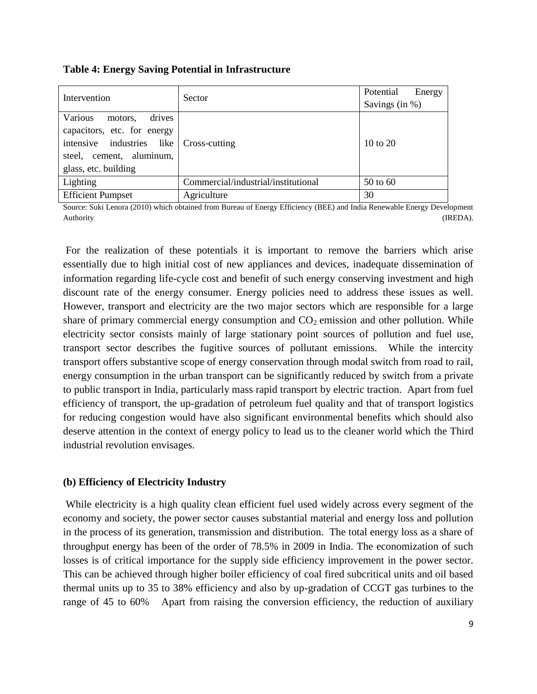|  |  |  |  |  | <b>Table 4: Energy Saving Potential in Infrastructure</b> |
|--|--|--|--|--|-----------------------------------------------------------|
|--|--|--|--|--|-----------------------------------------------------------|

| Intervention                 | Sector                              | Potential<br>Energy |
|------------------------------|-------------------------------------|---------------------|
|                              |                                     | Savings (in %)      |
| drives<br>Various<br>motors. |                                     |                     |
| capacitors, etc. for energy  |                                     |                     |
| intensive industries like    | Cross-cutting                       | $10 \text{ to } 20$ |
| steel, cement, aluminum,     |                                     |                     |
| glass, etc. building         |                                     |                     |
| Lighting                     | Commercial/industrial/institutional | 50 to 60            |
| <b>Efficient Pumpset</b>     | Agriculture                         | 30                  |

Source: Suki Lenora (2010) which obtained from Bureau of Energy Efficiency (BEE) and India Renewable Energy Development Authority (IREDA).

For the realization of these potentials it is important to remove the barriers which arise essentially due to high initial cost of new appliances and devices, inadequate dissemination of information regarding life-cycle cost and benefit of such energy conserving investment and high discount rate of the energy consumer. Energy policies need to address these issues as well. However, transport and electricity are the two major sectors which are responsible for a large share of primary commercial energy consumption and  $CO<sub>2</sub>$  emission and other pollution. While electricity sector consists mainly of large stationary point sources of pollution and fuel use, transport sector describes the fugitive sources of pollutant emissions. While the intercity transport offers substantive scope of energy conservation through modal switch from road to rail, energy consumption in the urban transport can be significantly reduced by switch from a private to public transport in India, particularly mass rapid transport by electric traction. Apart from fuel efficiency of transport, the up-gradation of petroleum fuel quality and that of transport logistics for reducing congestion would have also significant environmental benefits which should also deserve attention in the context of energy policy to lead us to the cleaner world which the Third industrial revolution envisages.

#### **(b) Efficiency of Electricity Industry**

While electricity is a high quality clean efficient fuel used widely across every segment of the economy and society, the power sector causes substantial material and energy loss and pollution in the process of its generation, transmission and distribution. The total energy loss as a share of throughput energy has been of the order of 78.5% in 2009 in India. The economization of such losses is of critical importance for the supply side efficiency improvement in the power sector. This can be achieved through higher boiler efficiency of coal fired subcritical units and oil based thermal units up to 35 to 38% efficiency and also by up-gradation of CCGT gas turbines to the range of 45 to 60% Apart from raising the conversion efficiency, the reduction of auxiliary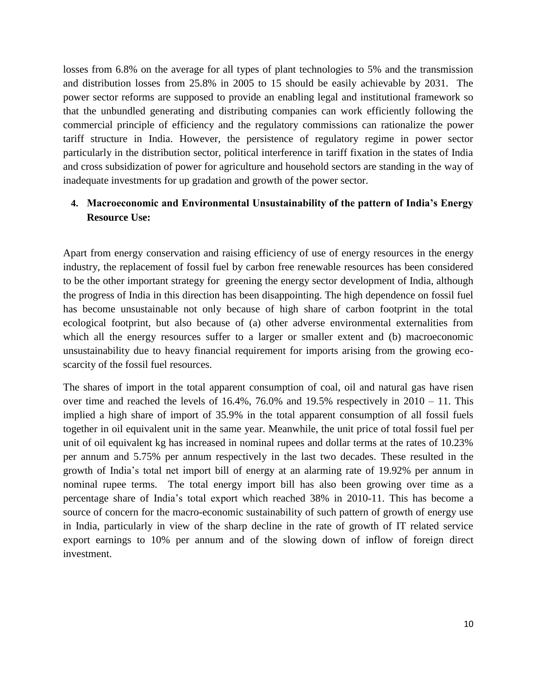losses from 6.8% on the average for all types of plant technologies to 5% and the transmission and distribution losses from 25.8% in 2005 to 15 should be easily achievable by 2031. The power sector reforms are supposed to provide an enabling legal and institutional framework so that the unbundled generating and distributing companies can work efficiently following the commercial principle of efficiency and the regulatory commissions can rationalize the power tariff structure in India. However, the persistence of regulatory regime in power sector particularly in the distribution sector, political interference in tariff fixation in the states of India and cross subsidization of power for agriculture and household sectors are standing in the way of inadequate investments for up gradation and growth of the power sector.

# **4. Macroeconomic and Environmental Unsustainability of the pattern of India's Energy Resource Use:**

Apart from energy conservation and raising efficiency of use of energy resources in the energy industry, the replacement of fossil fuel by carbon free renewable resources has been considered to be the other important strategy for greening the energy sector development of India, although the progress of India in this direction has been disappointing. The high dependence on fossil fuel has become unsustainable not only because of high share of carbon footprint in the total ecological footprint, but also because of (a) other adverse environmental externalities from which all the energy resources suffer to a larger or smaller extent and (b) macroeconomic unsustainability due to heavy financial requirement for imports arising from the growing ecoscarcity of the fossil fuel resources.

The shares of import in the total apparent consumption of coal, oil and natural gas have risen over time and reached the levels of 16.4%, 76.0% and 19.5% respectively in 2010 – 11. This implied a high share of import of 35.9% in the total apparent consumption of all fossil fuels together in oil equivalent unit in the same year. Meanwhile, the unit price of total fossil fuel per unit of oil equivalent kg has increased in nominal rupees and dollar terms at the rates of 10.23% per annum and 5.75% per annum respectively in the last two decades. These resulted in the growth of India"s total net import bill of energy at an alarming rate of 19.92% per annum in nominal rupee terms. The total energy import bill has also been growing over time as a percentage share of India"s total export which reached 38% in 2010-11. This has become a source of concern for the macro-economic sustainability of such pattern of growth of energy use in India, particularly in view of the sharp decline in the rate of growth of IT related service export earnings to 10% per annum and of the slowing down of inflow of foreign direct investment.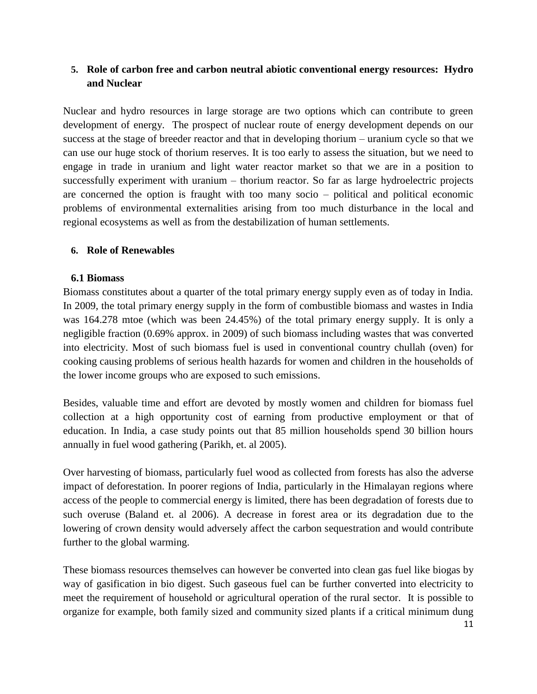# **5. Role of carbon free and carbon neutral abiotic conventional energy resources: Hydro and Nuclear**

Nuclear and hydro resources in large storage are two options which can contribute to green development of energy. The prospect of nuclear route of energy development depends on our success at the stage of breeder reactor and that in developing thorium – uranium cycle so that we can use our huge stock of thorium reserves. It is too early to assess the situation, but we need to engage in trade in uranium and light water reactor market so that we are in a position to successfully experiment with uranium – thorium reactor. So far as large hydroelectric projects are concerned the option is fraught with too many socio – political and political economic problems of environmental externalities arising from too much disturbance in the local and regional ecosystems as well as from the destabilization of human settlements.

#### **6. Role of Renewables**

#### **6.1 Biomass**

Biomass constitutes about a quarter of the total primary energy supply even as of today in India. In 2009, the total primary energy supply in the form of combustible biomass and wastes in India was 164.278 mtoe (which was been 24.45%) of the total primary energy supply. It is only a negligible fraction (0.69% approx. in 2009) of such biomass including wastes that was converted into electricity. Most of such biomass fuel is used in conventional country chullah (oven) for cooking causing problems of serious health hazards for women and children in the households of the lower income groups who are exposed to such emissions.

Besides, valuable time and effort are devoted by mostly women and children for biomass fuel collection at a high opportunity cost of earning from productive employment or that of education. In India, a case study points out that 85 million households spend 30 billion hours annually in fuel wood gathering (Parikh, et. al 2005).

Over harvesting of biomass, particularly fuel wood as collected from forests has also the adverse impact of deforestation. In poorer regions of India, particularly in the Himalayan regions where access of the people to commercial energy is limited, there has been degradation of forests due to such overuse (Baland et. al 2006). A decrease in forest area or its degradation due to the lowering of crown density would adversely affect the carbon sequestration and would contribute further to the global warming.

These biomass resources themselves can however be converted into clean gas fuel like biogas by way of gasification in bio digest. Such gaseous fuel can be further converted into electricity to meet the requirement of household or agricultural operation of the rural sector. It is possible to organize for example, both family sized and community sized plants if a critical minimum dung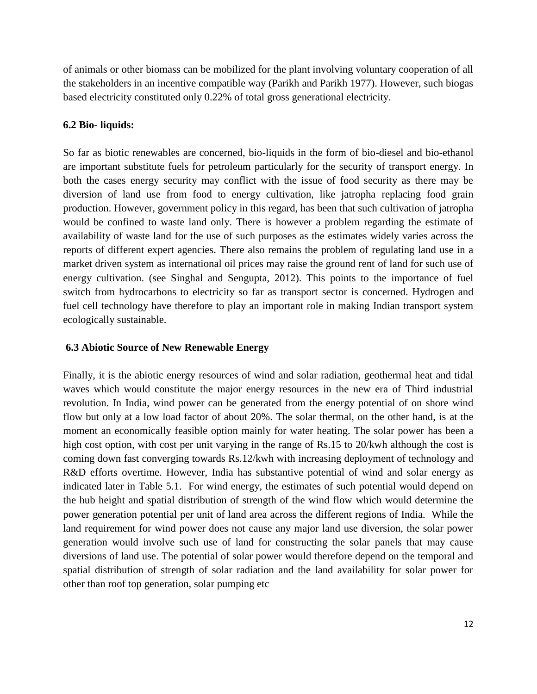of animals or other biomass can be mobilized for the plant involving voluntary cooperation of all the stakeholders in an incentive compatible way (Parikh and Parikh 1977). However, such biogas based electricity constituted only 0.22% of total gross generational electricity.

# **6.2 Bio- liquids:**

So far as biotic renewables are concerned, bio-liquids in the form of bio-diesel and bio-ethanol are important substitute fuels for petroleum particularly for the security of transport energy. In both the cases energy security may conflict with the issue of food security as there may be diversion of land use from food to energy cultivation, like jatropha replacing food grain production. However, government policy in this regard, has been that such cultivation of jatropha would be confined to waste land only. There is however a problem regarding the estimate of availability of waste land for the use of such purposes as the estimates widely varies across the reports of different expert agencies. There also remains the problem of regulating land use in a market driven system as international oil prices may raise the ground rent of land for such use of energy cultivation. (see Singhal and Sengupta, 2012). This points to the importance of fuel switch from hydrocarbons to electricity so far as transport sector is concerned. Hydrogen and fuel cell technology have therefore to play an important role in making Indian transport system ecologically sustainable.

## **6.3 Abiotic Source of New Renewable Energy**

Finally, it is the abiotic energy resources of wind and solar radiation, geothermal heat and tidal waves which would constitute the major energy resources in the new era of Third industrial revolution. In India, wind power can be generated from the energy potential of on shore wind flow but only at a low load factor of about 20%. The solar thermal, on the other hand, is at the moment an economically feasible option mainly for water heating. The solar power has been a high cost option, with cost per unit varying in the range of Rs.15 to 20/kwh although the cost is coming down fast converging towards Rs.12/kwh with increasing deployment of technology and R&D efforts overtime. However, India has substantive potential of wind and solar energy as indicated later in Table 5.1. For wind energy, the estimates of such potential would depend on the hub height and spatial distribution of strength of the wind flow which would determine the power generation potential per unit of land area across the different regions of India. While the land requirement for wind power does not cause any major land use diversion, the solar power generation would involve such use of land for constructing the solar panels that may cause diversions of land use. The potential of solar power would therefore depend on the temporal and spatial distribution of strength of solar radiation and the land availability for solar power for other than roof top generation, solar pumping etc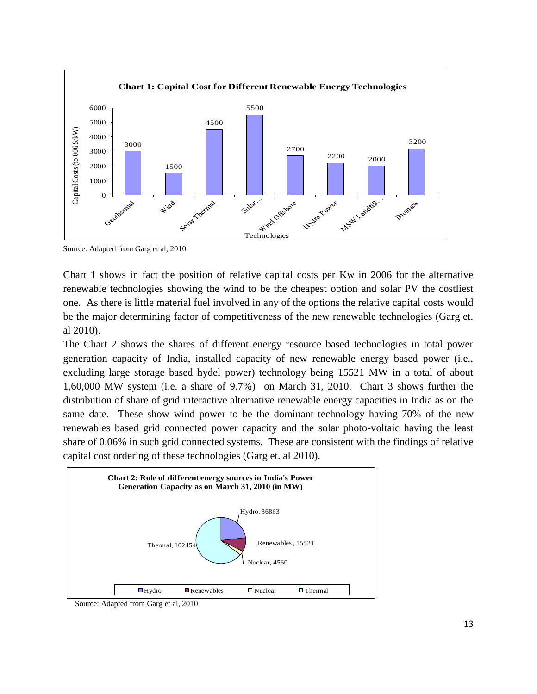

Source: Adapted from Garg et al, 2010

Chart 1 shows in fact the position of relative capital costs per Kw in 2006 for the alternative renewable technologies showing the wind to be the cheapest option and solar PV the costliest one. As there is little material fuel involved in any of the options the relative capital costs would be the major determining factor of competitiveness of the new renewable technologies (Garg et. al 2010).

The Chart 2 shows the shares of different energy resource based technologies in total power generation capacity of India, installed capacity of new renewable energy based power (i.e., excluding large storage based hydel power) technology being 15521 MW in a total of about 1,60,000 MW system (i.e. a share of 9.7%) on March 31, 2010. Chart 3 shows further the distribution of share of grid interactive alternative renewable energy capacities in India as on the same date. These show wind power to be the dominant technology having 70% of the new renewables based grid connected power capacity and the solar photo-voltaic having the least share of 0.06% in such grid connected systems. These are consistent with the findings of relative capital cost ordering of these technologies (Garg et. al 2010).



Source: Adapted from Garg et al, 2010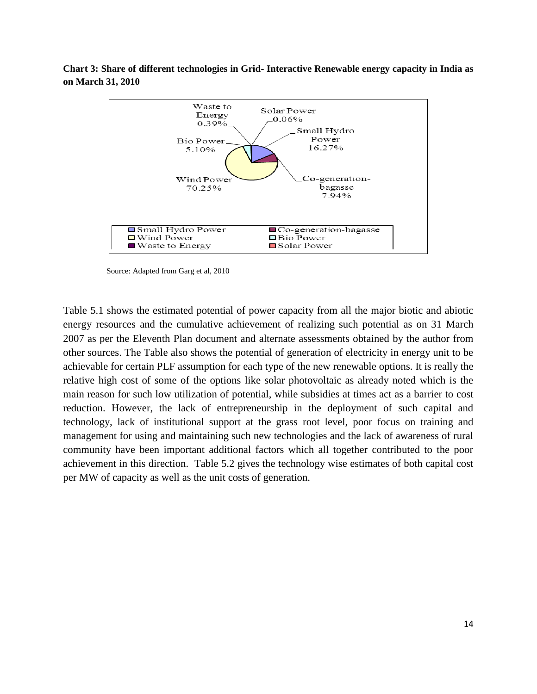**Chart 3: Share of different technologies in Grid- Interactive Renewable energy capacity in India as on March 31, 2010**



Source: Adapted from Garg et al, 2010

Table 5.1 shows the estimated potential of power capacity from all the major biotic and abiotic energy resources and the cumulative achievement of realizing such potential as on 31 March 2007 as per the Eleventh Plan document and alternate assessments obtained by the author from other sources. The Table also shows the potential of generation of electricity in energy unit to be achievable for certain PLF assumption for each type of the new renewable options. It is really the relative high cost of some of the options like solar photovoltaic as already noted which is the main reason for such low utilization of potential, while subsidies at times act as a barrier to cost reduction. However, the lack of entrepreneurship in the deployment of such capital and technology, lack of institutional support at the grass root level, poor focus on training and management for using and maintaining such new technologies and the lack of awareness of rural community have been important additional factors which all together contributed to the poor achievement in this direction. Table 5.2 gives the technology wise estimates of both capital cost per MW of capacity as well as the unit costs of generation.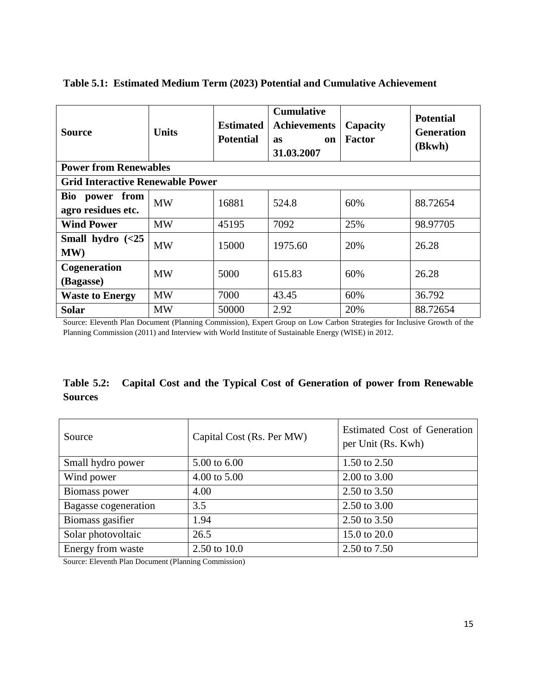| <b>Source</b>                            | <b>Units</b> | <b>Estimated</b><br><b>Potential</b> | <b>Cumulative</b><br><b>Achievements</b><br><b>as</b><br>on<br>31.03.2007 | Capacity<br><b>Factor</b> | <b>Potential</b><br><b>Generation</b><br>(Bkwh) |
|------------------------------------------|--------------|--------------------------------------|---------------------------------------------------------------------------|---------------------------|-------------------------------------------------|
| <b>Power from Renewables</b>             |              |                                      |                                                                           |                           |                                                 |
| <b>Grid Interactive Renewable Power</b>  |              |                                      |                                                                           |                           |                                                 |
| from<br>Bio power<br>agro residues etc.  | <b>MW</b>    | 16881                                | 524.8                                                                     | 60%                       | 88.72654                                        |
| <b>Wind Power</b>                        | <b>MW</b>    | 45195                                | 7092                                                                      | 25%                       | 98.97705                                        |
| Small hydro $\left( < 25 \right)$<br>MW) | <b>MW</b>    | 15000                                | 1975.60                                                                   | 20%                       | 26.28                                           |
| Cogeneration<br>(Bagasse)                | <b>MW</b>    | 5000                                 | 615.83                                                                    | 60%                       | 26.28                                           |
| <b>Waste to Energy</b>                   | <b>MW</b>    | 7000                                 | 43.45                                                                     | 60%                       | 36.792                                          |
| <b>Solar</b>                             | <b>MW</b>    | 50000                                | 2.92                                                                      | 20%                       | 88.72654                                        |

# **Table 5.1: Estimated Medium Term (2023) Potential and Cumulative Achievement**

Source: Eleventh Plan Document (Planning Commission), Expert Group on Low Carbon Strategies for Inclusive Growth of the Planning Commission (2011) and Interview with World Institute of Sustainable Energy (WISE) in 2012.

|                |  |  | Table 5.2: Capital Cost and the Typical Cost of Generation of power from Renewable |  |  |
|----------------|--|--|------------------------------------------------------------------------------------|--|--|
| <b>Sources</b> |  |  |                                                                                    |  |  |

| Source               | Capital Cost (Rs. Per MW) | Estimated Cost of Generation<br>per Unit (Rs. Kwh) |
|----------------------|---------------------------|----------------------------------------------------|
| Small hydro power    | 5.00 to 6.00              | 1.50 to 2.50                                       |
| Wind power           | 4.00 to 5.00              | 2.00 to 3.00                                       |
| Biomass power        | 4.00                      | 2.50 to 3.50                                       |
| Bagasse cogeneration | 3.5                       | 2.50 to 3.00                                       |
| Biomass gasifier     | 1.94                      | 2.50 to 3.50                                       |
| Solar photovoltaic   | 26.5                      | 15.0 to 20.0                                       |
| Energy from waste    | 2.50 to 10.0              | 2.50 to 7.50                                       |

Source: Eleventh Plan Document (Planning Commission)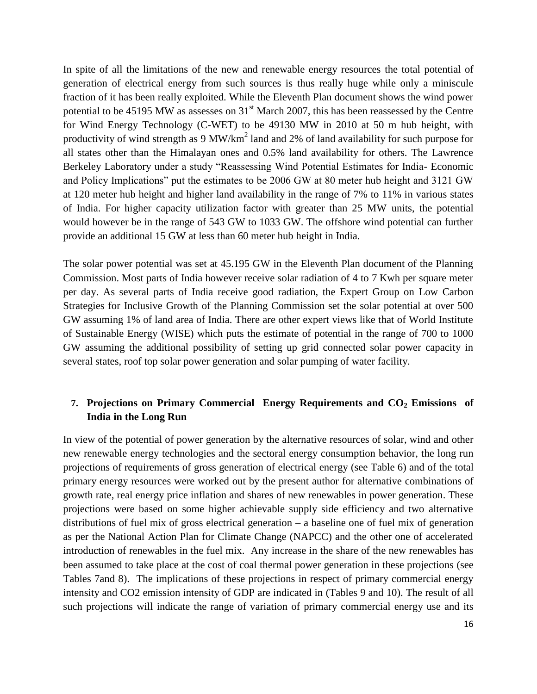In spite of all the limitations of the new and renewable energy resources the total potential of generation of electrical energy from such sources is thus really huge while only a miniscule fraction of it has been really exploited. While the Eleventh Plan document shows the wind power potential to be 45195 MW as assesses on  $31<sup>st</sup>$  March 2007, this has been reassessed by the Centre for Wind Energy Technology (C-WET) to be 49130 MW in 2010 at 50 m hub height, with productivity of wind strength as 9 MW/km<sup>2</sup> land and 2% of land availability for such purpose for all states other than the Himalayan ones and 0.5% land availability for others. The Lawrence Berkeley Laboratory under a study "Reassessing Wind Potential Estimates for India- Economic and Policy Implications" put the estimates to be 2006 GW at 80 meter hub height and 3121 GW at 120 meter hub height and higher land availability in the range of 7% to 11% in various states of India. For higher capacity utilization factor with greater than 25 MW units, the potential would however be in the range of 543 GW to 1033 GW. The offshore wind potential can further provide an additional 15 GW at less than 60 meter hub height in India.

The solar power potential was set at 45.195 GW in the Eleventh Plan document of the Planning Commission. Most parts of India however receive solar radiation of 4 to 7 Kwh per square meter per day. As several parts of India receive good radiation, the Expert Group on Low Carbon Strategies for Inclusive Growth of the Planning Commission set the solar potential at over 500 GW assuming 1% of land area of India. There are other expert views like that of World Institute of Sustainable Energy (WISE) which puts the estimate of potential in the range of 700 to 1000 GW assuming the additional possibility of setting up grid connected solar power capacity in several states, roof top solar power generation and solar pumping of water facility.

# **7. Projections on Primary Commercial Energy Requirements and CO<sup>2</sup> Emissions of India in the Long Run**

In view of the potential of power generation by the alternative resources of solar, wind and other new renewable energy technologies and the sectoral energy consumption behavior, the long run projections of requirements of gross generation of electrical energy (see Table 6) and of the total primary energy resources were worked out by the present author for alternative combinations of growth rate, real energy price inflation and shares of new renewables in power generation. These projections were based on some higher achievable supply side efficiency and two alternative distributions of fuel mix of gross electrical generation – a baseline one of fuel mix of generation as per the National Action Plan for Climate Change (NAPCC) and the other one of accelerated introduction of renewables in the fuel mix. Any increase in the share of the new renewables has been assumed to take place at the cost of coal thermal power generation in these projections (see Tables 7and 8). The implications of these projections in respect of primary commercial energy intensity and CO2 emission intensity of GDP are indicated in (Tables 9 and 10). The result of all such projections will indicate the range of variation of primary commercial energy use and its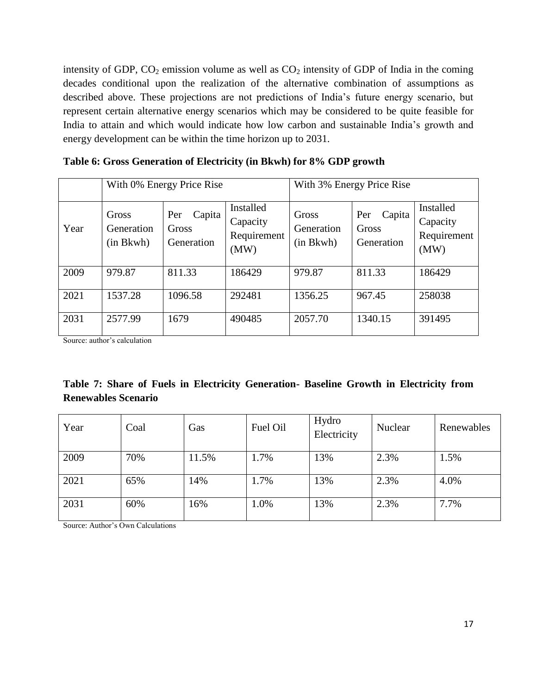intensity of GDP,  $CO_2$  emission volume as well as  $CO_2$  intensity of GDP of India in the coming decades conditional upon the realization of the alternative combination of assumptions as described above. These projections are not predictions of India"s future energy scenario, but represent certain alternative energy scenarios which may be considered to be quite feasible for India to attain and which would indicate how low carbon and sustainable India"s growth and energy development can be within the time horizon up to 2031.

|      |                                  | With 0% Energy Price Rise            |                                              |                                  | With 3% Energy Price Rise            |                                              |
|------|----------------------------------|--------------------------------------|----------------------------------------------|----------------------------------|--------------------------------------|----------------------------------------------|
|      |                                  |                                      |                                              |                                  |                                      |                                              |
| Year | Gross<br>Generation<br>(in Bkwh) | Capita<br>Per<br>Gross<br>Generation | Installed<br>Capacity<br>Requirement<br>(MW) | Gross<br>Generation<br>(in Bkwh) | Capita<br>Per<br>Gross<br>Generation | Installed<br>Capacity<br>Requirement<br>(MW) |
| 2009 | 979.87                           | 811.33                               | 186429                                       | 979.87                           | 811.33                               | 186429                                       |
| 2021 | 1537.28                          | 1096.58                              | 292481                                       | 1356.25                          | 967.45                               | 258038                                       |
| 2031 | 2577.99                          | 1679                                 | 490485                                       | 2057.70                          | 1340.15                              | 391495                                       |

|  | Table 6: Gross Generation of Electricity (in Bkwh) for 8% GDP growth |  |  |
|--|----------------------------------------------------------------------|--|--|
|  |                                                                      |  |  |

Source: author"s calculation

# **Table 7: Share of Fuels in Electricity Generation- Baseline Growth in Electricity from Renewables Scenario**

| Year | Coal | Gas   | Fuel Oil | Hydro<br>Electricity | Nuclear | Renewables |
|------|------|-------|----------|----------------------|---------|------------|
| 2009 | 70%  | 11.5% | 1.7%     | 13%                  | 2.3%    | 1.5%       |
| 2021 | 65%  | 14%   | 1.7%     | 13%                  | 2.3%    | 4.0%       |
| 2031 | 60%  | 16%   | 1.0%     | 13%                  | 2.3%    | 7.7%       |

Source: Author"s Own Calculations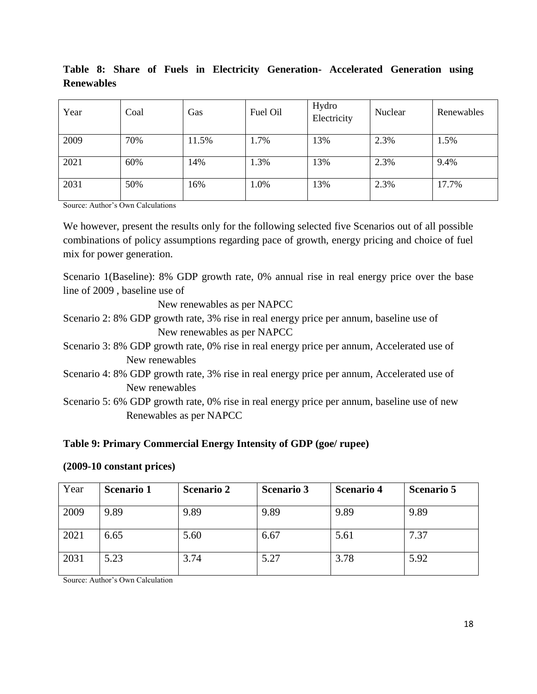| Year | Coal | Gas   | Fuel Oil | Hydro<br>Electricity | Nuclear | Renewables |
|------|------|-------|----------|----------------------|---------|------------|
| 2009 | 70%  | 11.5% | 1.7%     | 13%                  | 2.3%    | 1.5%       |
| 2021 | 60%  | 14%   | 1.3%     | 13%                  | 2.3%    | 9.4%       |
| 2031 | 50%  | 16%   | 1.0%     | 13%                  | 2.3%    | 17.7%      |

**Table 8: Share of Fuels in Electricity Generation- Accelerated Generation using Renewables**

Source: Author"s Own Calculations

We however, present the results only for the following selected five Scenarios out of all possible combinations of policy assumptions regarding pace of growth, energy pricing and choice of fuel mix for power generation.

Scenario 1(Baseline): 8% GDP growth rate, 0% annual rise in real energy price over the base line of 2009 , baseline use of

New renewables as per NAPCC

- Scenario 2: 8% GDP growth rate, 3% rise in real energy price per annum, baseline use of New renewables as per NAPCC
- Scenario 3: 8% GDP growth rate, 0% rise in real energy price per annum, Accelerated use of New renewables
- Scenario 4: 8% GDP growth rate, 3% rise in real energy price per annum, Accelerated use of New renewables
- Scenario 5: 6% GDP growth rate, 0% rise in real energy price per annum, baseline use of new Renewables as per NAPCC

#### **Table 9: Primary Commercial Energy Intensity of GDP (goe/ rupee)**

#### **(2009-10 constant prices)**

| Year | <b>Scenario 1</b> | <b>Scenario 2</b> | <b>Scenario 3</b> | <b>Scenario 4</b> | <b>Scenario 5</b> |
|------|-------------------|-------------------|-------------------|-------------------|-------------------|
| 2009 | 9.89              | 9.89              | 9.89              | 9.89              | 9.89              |
| 2021 | 6.65              | 5.60              | 6.67              | 5.61              | 7.37              |
| 2031 | 5.23<br>.         | 3.74              | 5.27              | 3.78              | 5.92              |

Source: Author"s Own Calculation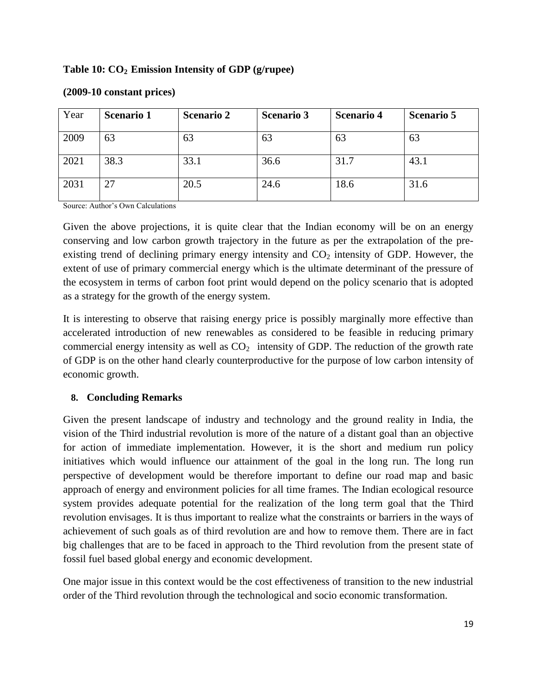## **Table 10: CO2 Emission Intensity of GDP (g/rupee)**

| Year | <b>Scenario 1</b> | <b>Scenario 2</b> | <b>Scenario 3</b> | <b>Scenario 4</b> | <b>Scenario 5</b> |
|------|-------------------|-------------------|-------------------|-------------------|-------------------|
| 2009 | 63                | 63                | 63                | 63                | 63                |
| 2021 | 38.3              | 33.1              | 36.6              | 31.7              | 43.1              |
| 2031 | 27                | 20.5              | 24.6              | 18.6              | 31.6              |

#### **(2009-10 constant prices)**

Source: Author"s Own Calculations

Given the above projections, it is quite clear that the Indian economy will be on an energy conserving and low carbon growth trajectory in the future as per the extrapolation of the preexisting trend of declining primary energy intensity and  $CO<sub>2</sub>$  intensity of GDP. However, the extent of use of primary commercial energy which is the ultimate determinant of the pressure of the ecosystem in terms of carbon foot print would depend on the policy scenario that is adopted as a strategy for the growth of the energy system.

It is interesting to observe that raising energy price is possibly marginally more effective than accelerated introduction of new renewables as considered to be feasible in reducing primary commercial energy intensity as well as  $CO<sub>2</sub>$  intensity of GDP. The reduction of the growth rate of GDP is on the other hand clearly counterproductive for the purpose of low carbon intensity of economic growth.

#### **8. Concluding Remarks**

Given the present landscape of industry and technology and the ground reality in India, the vision of the Third industrial revolution is more of the nature of a distant goal than an objective for action of immediate implementation. However, it is the short and medium run policy initiatives which would influence our attainment of the goal in the long run. The long run perspective of development would be therefore important to define our road map and basic approach of energy and environment policies for all time frames. The Indian ecological resource system provides adequate potential for the realization of the long term goal that the Third revolution envisages. It is thus important to realize what the constraints or barriers in the ways of achievement of such goals as of third revolution are and how to remove them. There are in fact big challenges that are to be faced in approach to the Third revolution from the present state of fossil fuel based global energy and economic development.

One major issue in this context would be the cost effectiveness of transition to the new industrial order of the Third revolution through the technological and socio economic transformation.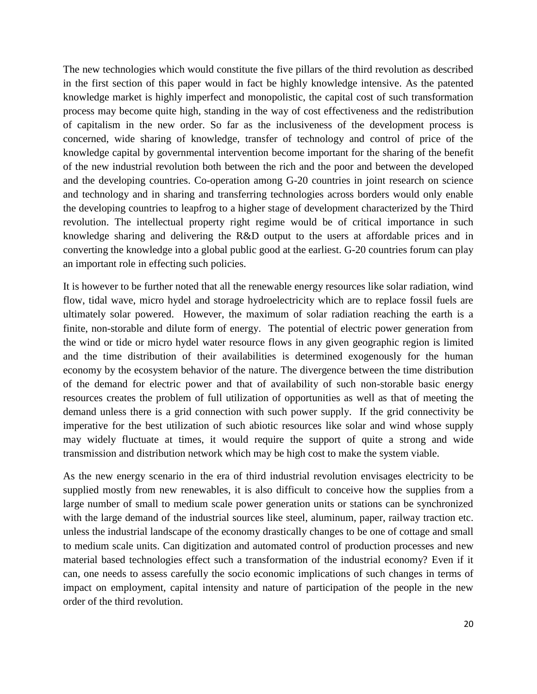The new technologies which would constitute the five pillars of the third revolution as described in the first section of this paper would in fact be highly knowledge intensive. As the patented knowledge market is highly imperfect and monopolistic, the capital cost of such transformation process may become quite high, standing in the way of cost effectiveness and the redistribution of capitalism in the new order. So far as the inclusiveness of the development process is concerned, wide sharing of knowledge, transfer of technology and control of price of the knowledge capital by governmental intervention become important for the sharing of the benefit of the new industrial revolution both between the rich and the poor and between the developed and the developing countries. Co-operation among G-20 countries in joint research on science and technology and in sharing and transferring technologies across borders would only enable the developing countries to leapfrog to a higher stage of development characterized by the Third revolution. The intellectual property right regime would be of critical importance in such knowledge sharing and delivering the R&D output to the users at affordable prices and in converting the knowledge into a global public good at the earliest. G-20 countries forum can play an important role in effecting such policies.

It is however to be further noted that all the renewable energy resources like solar radiation, wind flow, tidal wave, micro hydel and storage hydroelectricity which are to replace fossil fuels are ultimately solar powered. However, the maximum of solar radiation reaching the earth is a finite, non-storable and dilute form of energy. The potential of electric power generation from the wind or tide or micro hydel water resource flows in any given geographic region is limited and the time distribution of their availabilities is determined exogenously for the human economy by the ecosystem behavior of the nature. The divergence between the time distribution of the demand for electric power and that of availability of such non-storable basic energy resources creates the problem of full utilization of opportunities as well as that of meeting the demand unless there is a grid connection with such power supply. If the grid connectivity be imperative for the best utilization of such abiotic resources like solar and wind whose supply may widely fluctuate at times, it would require the support of quite a strong and wide transmission and distribution network which may be high cost to make the system viable.

As the new energy scenario in the era of third industrial revolution envisages electricity to be supplied mostly from new renewables, it is also difficult to conceive how the supplies from a large number of small to medium scale power generation units or stations can be synchronized with the large demand of the industrial sources like steel, aluminum, paper, railway traction etc. unless the industrial landscape of the economy drastically changes to be one of cottage and small to medium scale units. Can digitization and automated control of production processes and new material based technologies effect such a transformation of the industrial economy? Even if it can, one needs to assess carefully the socio economic implications of such changes in terms of impact on employment, capital intensity and nature of participation of the people in the new order of the third revolution.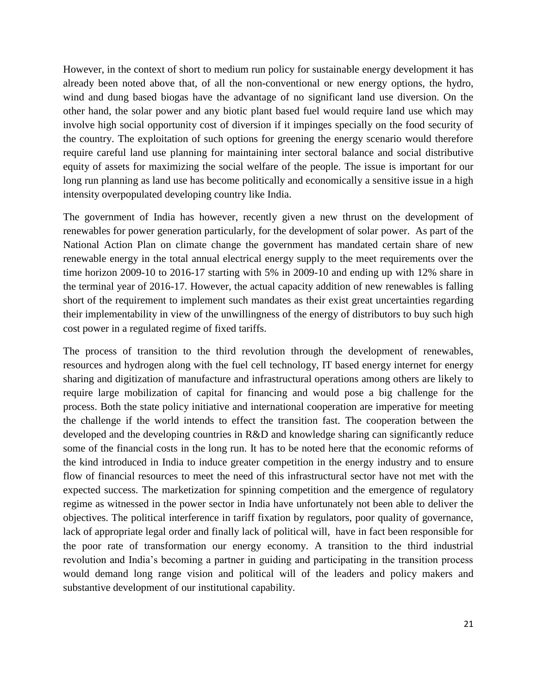However, in the context of short to medium run policy for sustainable energy development it has already been noted above that, of all the non-conventional or new energy options, the hydro, wind and dung based biogas have the advantage of no significant land use diversion. On the other hand, the solar power and any biotic plant based fuel would require land use which may involve high social opportunity cost of diversion if it impinges specially on the food security of the country. The exploitation of such options for greening the energy scenario would therefore require careful land use planning for maintaining inter sectoral balance and social distributive equity of assets for maximizing the social welfare of the people. The issue is important for our long run planning as land use has become politically and economically a sensitive issue in a high intensity overpopulated developing country like India.

The government of India has however, recently given a new thrust on the development of renewables for power generation particularly, for the development of solar power. As part of the National Action Plan on climate change the government has mandated certain share of new renewable energy in the total annual electrical energy supply to the meet requirements over the time horizon 2009-10 to 2016-17 starting with 5% in 2009-10 and ending up with 12% share in the terminal year of 2016-17. However, the actual capacity addition of new renewables is falling short of the requirement to implement such mandates as their exist great uncertainties regarding their implementability in view of the unwillingness of the energy of distributors to buy such high cost power in a regulated regime of fixed tariffs.

The process of transition to the third revolution through the development of renewables, resources and hydrogen along with the fuel cell technology, IT based energy internet for energy sharing and digitization of manufacture and infrastructural operations among others are likely to require large mobilization of capital for financing and would pose a big challenge for the process. Both the state policy initiative and international cooperation are imperative for meeting the challenge if the world intends to effect the transition fast. The cooperation between the developed and the developing countries in R&D and knowledge sharing can significantly reduce some of the financial costs in the long run. It has to be noted here that the economic reforms of the kind introduced in India to induce greater competition in the energy industry and to ensure flow of financial resources to meet the need of this infrastructural sector have not met with the expected success. The marketization for spinning competition and the emergence of regulatory regime as witnessed in the power sector in India have unfortunately not been able to deliver the objectives. The political interference in tariff fixation by regulators, poor quality of governance, lack of appropriate legal order and finally lack of political will, have in fact been responsible for the poor rate of transformation our energy economy. A transition to the third industrial revolution and India"s becoming a partner in guiding and participating in the transition process would demand long range vision and political will of the leaders and policy makers and substantive development of our institutional capability.